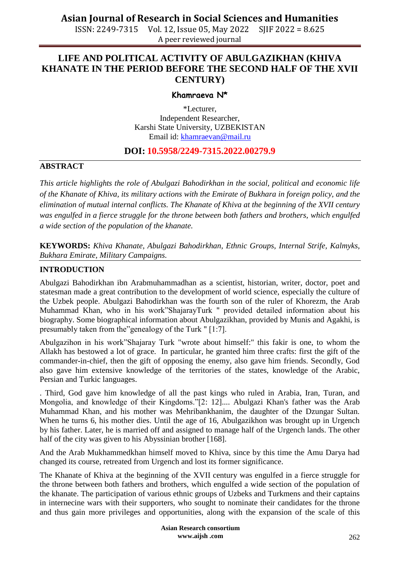ISSN: 2249-7315 Vol. 12, Issue 05, May 2022 SJIF 2022 = 8.625 A peer reviewed journal

### **LIFE AND POLITICAL ACTIVITY OF ABULGAZIKHAN (KHIVA KHANATE IN THE PERIOD BEFORE THE SECOND HALF OF THE XVII CENTURY)**

#### **Khamraeva N\***

\*Lecturer, Independent Researcher, Karshi State University, UZBEKISTAN Email id: [khamraevan@mail.ru](mailto:khamraevan@mail.ru)

### **DOI: 10.5958/2249-7315.2022.00279.9**

#### **ABSTRACT**

*This article highlights the role of Abulgazi Bahodirkhan in the social, political and economic life of the Khanate of Khiva, its military actions with the Emirate of Bukhara in foreign policy, and the elimination of mutual internal conflicts. The Khanate of Khiva at the beginning of the XVII century was engulfed in a fierce struggle for the throne between both fathers and brothers, which engulfed a wide section of the population of the khanate.*

**KEYWORDS:** *Khiva Khanate, Abulgazi Bahodirkhan, Ethnic Groups, Internal Strife, Kalmyks, Bukhara Emirate, Military Campaigns.*

#### **INTRODUCTION**

Abulgazi Bahodirkhan ibn Arabmuhammadhan as a scientist, historian, writer, doctor, poet and statesman made a great contribution to the development of world science, especially the culture of the Uzbek people. Abulgazi Bahodirkhan was the fourth son of the ruler of Khorezm, the Arab Muhammad Khan, who in his work"ShajarayTurk " provided detailed information about his biography. Some biographical information about Abulgazikhan, provided by Munis and Agakhi, is presumably taken from the"genealogy of the Turk " [1:7].

Abulgazihon in his work"Shajaray Turk "wrote about himself:" this fakir is one, to whom the Allakh has bestowed a lot of grace. In particular, he granted him three crafts: first the gift of the commander-in-chief, then the gift of opposing the enemy, also gave him friends. Secondly, God also gave him extensive knowledge of the territories of the states, knowledge of the Arabic, Persian and Turkic languages.

. Third, God gave him knowledge of all the past kings who ruled in Arabia, Iran, Turan, and Mongolia, and knowledge of their Kingdoms."[2: 12].... Abulgazi Khan's father was the Arab Muhammad Khan, and his mother was Mehribankhanim, the daughter of the Dzungar Sultan. When he turns 6, his mother dies. Until the age of 16, Abulgazikhon was brought up in Urgench by his father. Later, he is married off and assigned to manage half of the Urgench lands. The other half of the city was given to his Abyssinian brother [168].

And the Arab Mukhammedkhan himself moved to Khiva, since by this time the Amu Darya had changed its course, retreated from Urgench and lost its former significance.

The Khanate of Khiva at the beginning of the XVII century was engulfed in a fierce struggle for the throne between both fathers and brothers, which engulfed a wide section of the population of the khanate. The participation of various ethnic groups of Uzbeks and Turkmens and their captains in internecine wars with their supporters, who sought to nominate their candidates for the throne and thus gain more privileges and opportunities, along with the expansion of the scale of this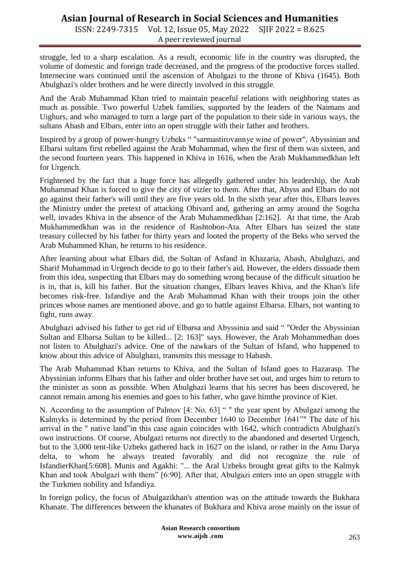# **Asian Journal of Research in Social Sciences and Humanities**

ISSN: 2249-7315 Vol. 12, Issue 05, May 2022 SJIF 2022 = 8.625 A peer reviewed journal

struggle, led to a sharp escalation. As a result, economic life in the country was disrupted, the volume of domestic and foreign trade decreased, and the progress of the productive forces stalled. Internecine wars continued until the ascension of Abulgazi to the throne of Khiva (1645). Both Abulghazi's older brothers and he were directly involved in this struggle.

And the Arab Muhammad Khan tried to maintain peaceful relations with neighboring states as much as possible. Two powerful Uzbek families, supported by the leaders of the Naimans and Uighurs, and who managed to turn a large part of the population to their side in various ways, the sultans Abash and Elbars, enter into an open struggle with their father and brothers.

Inspired by a group of power-hungry Uzbeks " "sarmastirovannye wine of power", Abyssinian and Elbarsi sultans first rebelled against the Arab Muhammad, when the first of them was sixteen, and the second fourteen years. This happened in Khiva in 1616, when the Arab Mukhammedkhan left for Urgench.

Frightened by the fact that a huge force has allegedly gathered under his leadership, the Arab Muhammad Khan is forced to give the city of vizier to them. After that, Abyss and Elbars do not go against their father's will until they are five years old. In the sixth year after this, Elbars leaves the Ministry under the pretext of attacking Obivard and, gathering an army around the Sogcha well, invades Khiva in the absence of the Arab Muhammedkhan [2:162]. At that time, the Arab Mukhammedkhan was in the residence of Rashtobon-Ata. After Elbars has seized the state treasury collected by his father for thirty years and looted the property of the Beks who served the Arab Muhammed Khan, he returns to his residence.

After learning about what Elbars did, the Sultan of Asfand in Khazaria, Abash, Abulghazi, and Sharif Muhammad in Urgench decide to go to their father's aid. However, the elders dissuade them from this idea, suspecting that Elbars may do something wrong because of the difficult situation he is in, that is, kill his father. But the situation changes, Elbars leaves Khiva, and the Khan's life becomes risk-free. Isfandiye and the Arab Muhammad Khan with their troops join the other princes whose names are mentioned above, and go to battle against Elbarsa. Elbars, not wanting to fight, runs away.

Abulghazi advised his father to get rid of Elbarsa and Abyssinia and said " "Order the Abyssinian Sultan and Elbarsa Sultan to be killed... [2: 163]" says. However, the Arab Mohammedhan does not listen to Abulghazi's advice. One of the nawkars of the Sultan of Isfand, who happened to know about this advice of Abulghazi, transmits this message to Habash.

The Arab Muhammad Khan returns to Khiva, and the Sultan of Isfand goes to Hazarasp. The Abyssinian informs Elbars that his father and older brother have set out, and urges him to return to the minister as soon as possible. When Abulghazi learns that his secret has been discovered, he cannot remain among his enemies and goes to his father, who gave himthe province of Kiet.

N. According to the assumption of Palmov [4: No. 63] " " the year spent by Abulgazi among the Kalmyks is determined by the period from December 1640 to December 1641"" The date of his arrival in the " native land"in this case again coincides with 1642, which contradicts Abulghazi's own instructions. Of course, Abulgazi returns not directly to the abandoned and deserted Urgench, but to the 3,000 tent-like Uzbeks gathered back in 1627 on the island, or rather in the Amu Darya delta, to whom he always treated favorably and did not recognize the rule of IsfandierKhan[5:608]. Munis and Agakhi: "... the Aral Uzbeks brought great gifts to the Kalmyk Khan and took Abulgazi with them" [6:90]. After that, Abulgazi enters into an open struggle with the Turkmen nobility and Isfandiya.

In foreign policy, the focus of Abulgazikhan's attention was on the attitude towards the Bukhara Khanate. The differences between the khanates of Bukhara and Khiva arose mainly on the issue of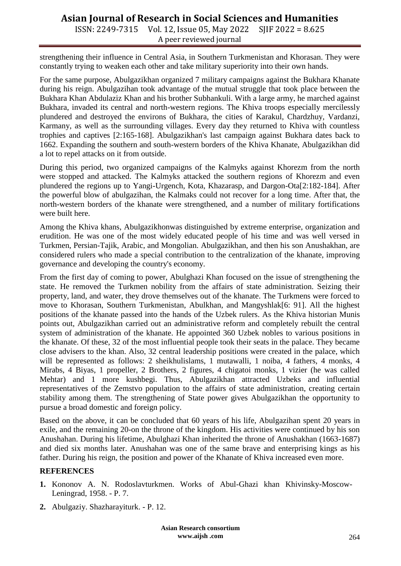# **Asian Journal of Research in Social Sciences and Humanities**

ISSN: 2249-7315 Vol. 12, Issue 05, May 2022 SJIF 2022 = 8.625 A peer reviewed journal

strengthening their influence in Central Asia, in Southern Turkmenistan and Khorasan. They were constantly trying to weaken each other and take military superiority into their own hands.

For the same purpose, Abulgazikhan organized 7 military campaigns against the Bukhara Khanate during his reign. Abulgazihan took advantage of the mutual struggle that took place between the Bukhara Khan Abdulaziz Khan and his brother Subhankuli. With a large army, he marched against Bukhara, invaded its central and north-western regions. The Khiva troops especially mercilessly plundered and destroyed the environs of Bukhara, the cities of Karakul, Chardzhuy, Vardanzi, Karmany, as well as the surrounding villages. Every day they returned to Khiva with countless trophies and captives [2:165-168]. Abulgazikhan's last campaign against Bukhara dates back to 1662. Expanding the southern and south-western borders of the Khiva Khanate, Abulgazikhan did a lot to repel attacks on it from outside.

During this period, two organized campaigns of the Kalmyks against Khorezm from the north were stopped and attacked. The Kalmyks attacked the southern regions of Khorezm and even plundered the regions up to Yangi-Urgench, Kota, Khazarasp, and Dargon-Ota[2:182-184]. After the powerful blow of abulgazihan, the Kalmaks could not recover for a long time. After that, the north-western borders of the khanate were strengthened, and a number of military fortifications were built here.

Among the Khiva khans, Abulgazikhonwas distinguished by extreme enterprise, organization and erudition. He was one of the most widely educated people of his time and was well versed in Turkmen, Persian-Tajik, Arabic, and Mongolian. Abulgazikhan, and then his son Anushakhan, are considered rulers who made a special contribution to the centralization of the khanate, improving governance and developing the country's economy.

From the first day of coming to power, Abulghazi Khan focused on the issue of strengthening the state. He removed the Turkmen nobility from the affairs of state administration. Seizing their property, land, and water, they drove themselves out of the khanate. The Turkmens were forced to move to Khorasan, Southern Turkmenistan, Abulkhan, and Mangyshlak[6: 91]. All the highest positions of the khanate passed into the hands of the Uzbek rulers. As the Khiva historian Munis points out, Abulgazikhan carried out an administrative reform and completely rebuilt the central system of administration of the khanate. He appointed 360 Uzbek nobles to various positions in the khanate. Of these, 32 of the most influential people took their seats in the palace. They became close advisers to the khan. Also, 32 central leadership positions were created in the palace, which will be represented as follows: 2 sheikhulislams, 1 mutawalli, 1 noiba, 4 fathers, 4 monks, 4 Mirabs, 4 Biyas, 1 propeller, 2 Brothers, 2 figures, 4 chigatoi monks, 1 vizier (he was called Mehtar) and 1 more kushbegi. Thus, Abulgazikhan attracted Uzbeks and influential representatives of the Zemstvo population to the affairs of state administration, creating certain stability among them. The strengthening of State power gives Abulgazikhan the opportunity to pursue a broad domestic and foreign policy.

Based on the above, it can be concluded that 60 years of his life, Abulgazihan spent 20 years in exile, and the remaining 20-on the throne of the kingdom. His activities were continued by his son Anushahan. During his lifetime, Abulghazi Khan inherited the throne of Anushakhan (1663-1687) and died six months later. Anushahan was one of the same brave and enterprising kings as his father. During his reign, the position and power of the Khanate of Khiva increased even more.

#### **REFERENCES**

- **1.** Kononov A. N. Rodoslavturkmen. Works of Abul-Ghazi khan Khivinsky-Moscow-Leningrad, 1958. - P. 7.
- **2.** Abulgaziy. Shazharayiturk. P. 12.